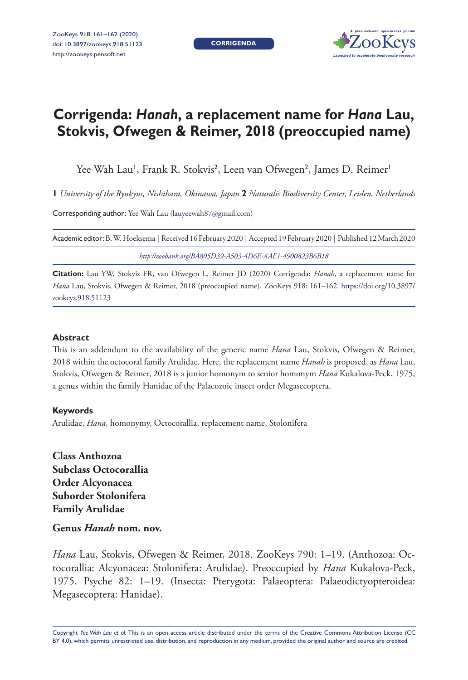**CORRIGENDA**



# **Corrigenda:** *Hanah***, a replacement name for** *Hana* **Lau, Stokvis, Ofwegen & Reimer, 2018 (preoccupied name)**

Yee Wah Lau', Frank R. Stokvis<sup>2</sup>, Leen van Ofwegen<sup>2</sup>, James D. Reimer'

**1** *University of the Ryukyus, Nishihara, Okinawa, Japan* **2** *Naturalis Biodiversity Center, Leiden, Netherlands*

Corresponding author: Yee Wah Lau ([lauyeewah87@gmail.com](mailto:lauyeewah87@gmail.com))

| Academic editor: B. W. Hoeksema   Received 16 February 2020   Accepted 19 February 2020   Published 12 March 2020 |  |
|-------------------------------------------------------------------------------------------------------------------|--|
| http://zoobank.org/BA805D39-A503-4D6E-AAE1-4900823B6B18                                                           |  |

**Citation:** Lau YW, Stokvis FR, van Ofwegen L, Reimer JD (2020) Corrigenda: *Hanah*, a replacement name for *Hana* Lau, Stokvis, Ofwegen & Reimer, 2018 (preoccupied name). ZooKeys 918: 161–162. [https://doi.org/10.3897/](https://doi.org/10.3897/zookeys.918.51123) [zookeys.918.51123](https://doi.org/10.3897/zookeys.918.51123)

#### **Abstract**

This is an addendum to the availability of the generic name *Hana* Lau, Stokvis, Ofwegen & Reimer, 2018 within the octocoral family Arulidae. Here, the replacement name *Hanah* is proposed, as *Hana* Lau, Stokvis, Ofwegen & Reimer, 2018 is a junior homonym to senior homonym *Hana* Kukalova-Peck, 1975, a genus within the family Hanidae of the Palaeozoic insect order Megasecoptera.

## **Keywords**

Arulidae, *Hana*, homonymy, Octocorallia, replacement name, Stolonifera

**Class Anthozoa Subclass Octocorallia Order Alcyonacea Suborder Stolonifera Family Arulidae**

## **Genus** *Hanah* **nom. nov.**

*Hana* Lau, Stokvis, Ofwegen & Reimer, 2018. ZooKeys 790: 1–19. (Anthozoa: Octocorallia: Alcyonacea: Stolonifera: Arulidae). Preoccupied by *Hana* Kukalova-Peck, 1975. Psyche 82: 1–19. (Insecta: Pterygota: Palaeoptera: Palaeodictyopteroidea: Megasecoptera: Hanidae).

Copyright *Yee Wah Lau et al.* This is an open access article distributed under the terms of the [Creative Commons Attribution License \(CC](http://creativecommons.org/licenses/by/4.0/)  [BY 4.0\)](http://creativecommons.org/licenses/by/4.0/), which permits unrestricted use, distribution, and reproduction in any medium, provided the original author and source are credited.